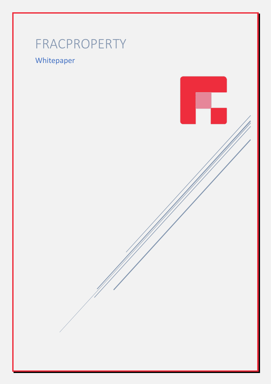# FRACPROPERTY

## Whitepaper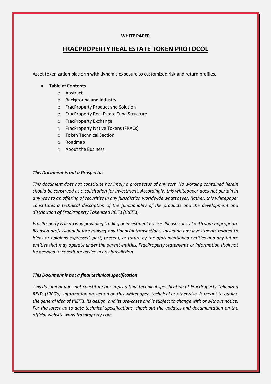#### **WHITE PAPER**

### **FRACPROPERTY REAL ESTATE TOKEN PROTOCOL**

Asset tokenization platform with dynamic exposure to customized risk and return profiles.

#### • **Table of Contents**

- o Abstract
- o Background and Industry
- o FracProperty Product and Solution
- o FracProperty Real Estate Fund Structure
- o FracProperty Exchange
- o FracProperty Native Tokens (FRACs)
- o Token Technical Section
- o Roadmap
- o About the Business

#### *This Document is not a Prospectus*

*This document does not constitute nor imply a prospectus of any sort. No wording contained herein should be construed as a solicitation for investment. Accordingly, this whitepaper does not pertain in any way to an offering of securities in any jurisdiction worldwide whatsoever. Rather, this whitepaper constitutes a technical description of the functionality of the products and the development and distribution of FracProperty Tokenized REITs (tREITs).*

*FracProperty is in no way providing trading or investment advice. Please consult with your appropriate licensed professional before making any financial transactions, including any investments related to ideas or opinions expressed, past, present, or future by the aforementioned entities and any future entities that may operate under the parent entities. FracProperty statements or information shall not be deemed to constitute advice in any jurisdiction.*

#### *This Document is not a final technical specification*

*This document does not constitute nor imply a final technical specification of FracProperty Tokenized REITs (tREITs). Information presented on this whitepaper, technical or otherwise, is meant to outline the general idea of tREITs, its design, and its use-cases and is subject to change with or without notice. For the latest up-to-date technical specifications, check out the updates and documentation on the official website www.fracproperty.com.*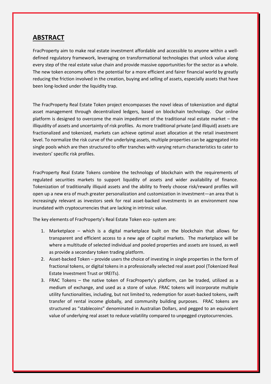## **ABSTRACT**

FracProperty aim to make real estate investment affordable and accessible to anyone within a welldefined regulatory framework, leveraging on transformational technologies that unlock value along every step of the real estate value chain and provide massive opportunities for the sector as a whole. The new token economy offers the potential for a more efficient and fairer financial world by greatly reducing the friction involved in the creation, buying and selling of assets, especially assets that have been long-locked under the liquidity trap.

The FracProperty Real Estate Token project encompasses the novel ideas of tokenization and digital asset management through decentralized ledgers, based on blockchain technology. Our online platform is designed to overcome the main impediment of the traditional real estate market – the illiquidity of assets and uncertainty of risk profiles. As more traditional private (and illiquid) assets are fractionalized and tokenized, markets can achieve optimal asset allocation at the retail investment level. To normalize the risk curve of the underlying assets, multiple properties can be aggregated into single pools which are then structured to offer tranches with varying return characteristics to cater to investors' specific risk profiles.

FracProperty Real Estate Tokens combine the technology of blockchain with the requirements of regulated securities markets to support liquidity of assets and wider availability of finance. Tokenization of traditionally illiquid assets and the ability to freely choose risk/reward profiles will open up a new era of much greater personalization and customization in investment—an area that is increasingly relevant as investors seek for real asset-backed investments in an environment now inundated with cryptocurrencies that are lacking in intrinsic value.

The key elements of FracProperty's Real Estate Token eco- system are:

- 1. Marketplace which is a digital marketplace built on the blockchain that allows for transparent and efficient access to a new age of capital markets. The marketplace will be where a multitude of selected individual and pooled properties and assets are issued, as well as provide a secondary token trading platform.
- 2. Asset-backed Token provide users the choice of investing in single properties in the form of fractional tokens, or digital tokens in a professionally selected real asset pool (Tokenized Real Estate Investment Trust or tREITs).
- 3. FRAC Tokens the native token of FracProperty's platform, can be traded, utilized as a medium of exchange, and used as a store of value. FRAC tokens will incorporate multiple utility functionalities, including, but not limited to, redemption for asset-backed tokens, swift transfer of rental income globally, and community building purposes. FRAC tokens are structured as "stablecoins" denominated in Australian Dollars, and pegged to an equivalent value of underlying real asset to reduce volatility compared to unpegged cryptocurrencies.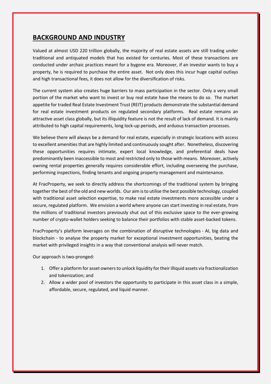## **BACKGROUND AND INDUSTRY**

Valued at almost USD 220 trillion globally, the majority of real estate assets are still trading under traditional and antiquated models that has existed for centuries. Most of these transactions are conducted under archaic practices meant for a bygone era. Moreover, if an investor wants to buy a property, he is required to purchase the entire asset. Not only does this incur huge capital outlays and high transactional fees, it does not allow for the diversification of risks.

The current system also creates huge barriers to mass participation in the sector. Only a very small portion of the market who want to invest or buy real estate have the means to do so. The market appetite for traded Real Estate Investment Trust (REIT) products demonstrate the substantial demand for real estate investment products on regulated secondary platforms. Real estate remains an attractive asset class globally, but its illiquidity feature is not the result of lack of demand. It is mainly attributed to high capital requirements, long lock-up periods, and arduous transaction processes.

We believe there will always be a demand for real estate, especially in strategic locations with access to excellent amenities that are highly limited and continuously sought after. Nonetheless, discovering these opportunities requires intimate, expert local knowledge, and preferential deals have predominantly been inaccessible to most and restricted only to those with means. Moreover, actively owning rental properties generally requires considerable effort, including overseeing the purchase, performing inspections, finding tenants and ongoing property management and maintenance.

At FracProperty, we seek to directly address the shortcomings of the traditional system by bringing together the best of the old and new worlds. Our aim is to utilise the best possible technology, coupled with traditional asset selection expertise, to make real estate investments more accessible under a secure, regulated platform. We envision a world where anyone can start investing in real estate, from the millions of traditional investors previously shut out of this exclusive space to the ever-growing number of crypto-wallet holders seeking to balance their portfolios with stable asset-backed tokens.

FracProperty's platform leverages on the combination of disruptive technologies - AI, big data and blockchain - to analyse the property market for exceptional investment opportunities, beating the market with privileged insights in a way that conventional analysis will never match.

Our approach is two-pronged:

- 1. Offer a platform for asset owners to unlock liquidity for their illiquid assets via fractionalization and tokenization; and
- 2. Allow a wider pool of investors the opportunity to participate in this asset class in a simple, affordable, secure, regulated, and liquid manner.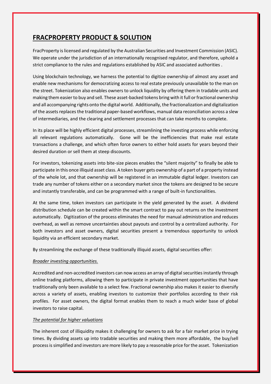## **FRACPROPERTY PRODUCT & SOLUTION**

FracProperty is licensed and regulated by the Australian Securities and Investment Commission (ASIC). We operate under the jurisdiction of an internationally recognised regulator, and therefore, uphold a strict compliance to the rules and regulations established by ASIC and associated authorities .

Using blockchain technology, we harness the potential to digitize ownership of almost any asset and enable new mechanisms for democratizing access to real estate previously unavailable to the man on the street. Tokenization also enables owners to unlock liquidity by offering them in tradable units and making them easier to buy and sell. These asset-backed tokens bring with it full or fractional ownership and all accompanying rights onto the digital world. Additionally, the fractionalization and digitalization of the assets replaces the traditional paper-based workflows, manual data reconciliation across a slew of intermediaries, and the clearing and settlement processes that can take months to complete.

In its place will be highly efficient digital processes, streamlining the investing process while enforcing all relevant regulations automatically. Gone will be the inefficiencies that make real estate transactions a challenge, and which often force owners to either hold assets for years beyond their desired duration or sell them at steep discounts.

For investors, tokenizing assets into bite-size pieces enables the "silent majority" to finally be able to participate in this once illiquid asset class. A token buyer gets ownership of a part of a property instead of the whole lot, and that ownership will be registered in an immutable digital ledger. Investors can trade any number of tokens either on a secondary market since the tokens are designed to be secure and instantly transferable, and can be programmed with a range of built-in functionalities.

At the same time, token investors can participate in the yield generated by the asset. A dividend distribution schedule can be created within the smart contract to pay out returns on the investment automatically. Digitization of the process eliminates the need for manual administration and reduces overhead, as well as remove uncertainties about payouts and control by a centralized authority. For both investors and asset owners, digital securities present a tremendous opportunity to unlock liquidity via an efficient secondary market.

By streamlining the exchange of these traditionally illiquid assets, digital securities offer:

#### *Broader investing opportunities.*

Accredited and non-accredited investors can now access an array of digital securities instantly through online trading platforms, allowing them to participate in private investment opportunities that have traditionally only been available to a select few. Fractional ownership also makes it easier to diversify across a variety of assets, enabling investors to customize their portfolios according to their risk profiles. For asset owners, the digital format enables them to reach a much wider base of global investors to raise capital.

#### *The potential for higher valuations*

The inherent cost of illiquidity makes it challenging for owners to ask for a fair market price in trying times. By dividing assets up into tradable securities and making them more affordable, the buy/sell process is simplified and investors are more likely to pay a reasonable price for the asset. Tokenization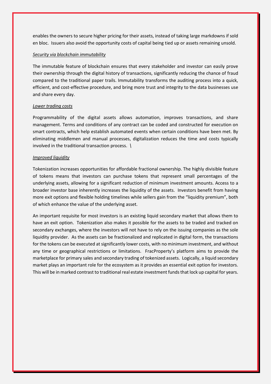enables the owners to secure higher pricing for their assets, instead of taking large markdowns if sold en bloc. Issuers also avoid the opportunity costs of capital being tied up or assets remaining unsold.

#### *Security via blockchain immutability*

The immutable feature of blockchain ensures that every stakeholder and investor can easily prove their ownership through the digital history of transactions, significantly reducing the chance of fraud compared to the traditional paper trails. Immutability transforms the auditing process into a quick, efficient, and cost-effective procedure, and bring more trust and integrity to the data businesses use and share every day.

#### *Lower trading costs*

Programmability of the digital assets allows automation, improves transactions, and share management. Terms and conditions of any contract can be coded and constructed for execution on smart contracts, which help establish automated events when certain conditions have been met. By eliminating middlemen and manual processes, digitalization reduces the time and costs typically involved in the traditional transaction process. *\*

#### *Improved liquidity*

Tokenization increases opportunities for affordable fractional ownership. The highly divisible feature of tokens means that investors can purchase tokens that represent small percentages of the underlying assets, allowing for a significant reduction of minimum investment amounts. Access to a broader investor base inherently increases the liquidity of the assets. Investors benefit from having more exit options and flexible holding timelines while sellers gain from the "liquidity premium", both of which enhance the value of the underlying asset.

An important requisite for most investors is an existing liquid secondary market that allows them to have an exit option. Tokenization also makes it possible for the assets to be traded and tracked on secondary exchanges, where the investors will not have to rely on the issuing companies as the sole liquidity provider. As the assets can be fractionalized and replicated in digital form, the transactions for the tokens can be executed at significantly lower costs, with no minimum investment, and without any time or geographical restrictions or limitations. FracProperty's platform aims to provide the marketplace for primary sales and secondary trading of tokenized assets. Logically, a liquid secondary market plays an important role for the ecosystem as it provides an essential exit option for investors. This will be in marked contrast to traditional real estate investment funds that lock up capital for years.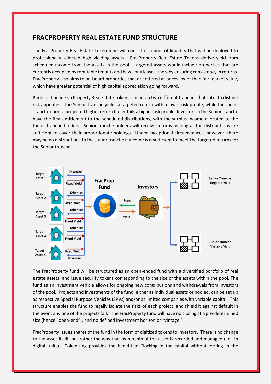## **FRACPROPERTY REAL ESTATE FUND STRUCTURE**

The FracProperty Real Estate Token fund will consist of a pool of liquidity that will be deployed to professionally selected high yielding assets. FracProperty Real Estate Tokens derive yield from scheduled income from the assets in the pool. Targeted assets would include properties that are currently occupied by reputable tenants and have long leases, thereby ensuring consistency in returns. FracProperty also aims to on-board properties that are offered at prices lower than fair market value, which have greater potential of high capital appreciation going forward.

Participation in FracProperty Real Estate Tokens can be via two different tranches that cater to distinct risk appetites. The Senior Tranche yields a targeted return with a lower risk profile, while the Junior Tranche earns a projected higher return but entails a higher risk profile. Investors in the Senior tranche have the first entitlement to the scheduled distributions, with the surplus income allocated to the Junior tranche holders. Senior tranche holders will receive returns as long as the distributions are sufficient to cover their proportionate holdings. Under exceptional circumstances, however, there may be no distributions to the Junior tranche if income is insufficient to meet the targeted returns for the Senior tranche.



The FracProperty fund will be structured as an open-ended fund with a diversified portfolio of real estate assets, and issue security tokens corresponding to the size of the assets within the pool. The fund as an investment vehicle allows for ongoing new contributions and withdrawals from investors of the pool. Projects and investments of the fund, either as individual assets or pooled, can be set up as respective Special Purpose Vehicles (SPVs) and/or as limited companies with variable capital. This structure enables the fund to legally isolate the risks of each project, and shield it against default in the event any one of the projects fail. The FracProperty fund will have no closing at a pre-determined size (hence "open-end"), and no defined investment horizon or "vintage."

FracProperty issues shares of the fund in the form of digitized tokens to investors. There is no change to the asset itself, but rather the way that ownership of the asset is recorded and managed (i.e., in digital units). Tokenizing provides the benefit of "locking in the capital without locking in the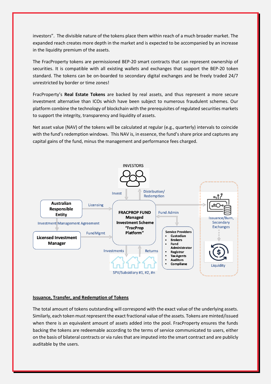investors". The divisible nature of the tokens place them within reach of a much broader market. The expanded reach creates more depth in the market and is expected to be accompanied by an increase in the liquidity premium of the assets.

The FracProperty tokens are permissioned BEP-20 smart contracts that can represent ownership of securities. It is compatible with all existing wallets and exchanges that support the BEP-20 token standard. The tokens can be on-boarded to secondary digital exchanges and be freely traded 24/7 unrestricted by border or time zones!

FracProperty's **Real Estate Tokens** are backed by real assets, and thus represent a more secure investment alternative than ICOs which have been subject to numerous fraudulent schemes. Our platform combine the technology of blockchain with the prerequisites of regulated securities markets to support the integrity, transparency and liquidity of assets.

Net asset value (NAV) of the tokens will be calculated at regular (e.g., quarterly) intervals to coincide with the fund's redemption windows. This NAV is, in essence, the fund's share price and captures any capital gains of the fund, minus the management and performance fees charged.



#### **Issuance, Transfer, and Redemption of Tokens**

The total amount of tokens outstanding will correspond with the exact value of the underlying assets. Similarly, each token must represent the exact fractional value of the assets. Tokens are minted/issued when there is an equivalent amount of assets added into the pool. FracProperty ensures the funds backing the tokens are redeemable according to the terms of service communicated to users, either on the basis of bilateral contracts or via rules that are imputed into the smart contract and are publicly auditable by the users.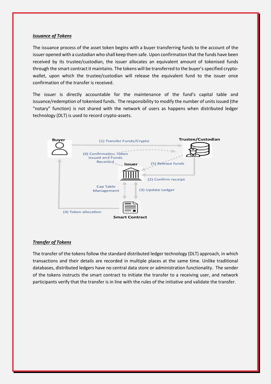#### *Issuance of Tokens*

The issuance process of the asset token begins with a buyer transferring funds to the account of the issuer opened with a custodian who shall keep them safe. Upon confirmation that the funds have been received by its trustee/custodian, the issuer allocates an equivalent amount of tokenised funds through the smart contract it maintains. The tokens will be transferred to the buyer's specified cryptowallet, upon which the trustee/custodian will release the equivalent fund to the issuer once confirmation of the transfer is received.

The issuer is directly accountable for the maintenance of the fund's capital table and issuance/redemption of tokenised funds. The responsibility to modify the number of units issued (the "notary" function) is not shared with the network of users as happens when distributed ledger technology (DLT) is used to record crypto-assets.



#### *Transfer of Tokens*

The transfer of the tokens follow the standard distributed ledger technology (DLT) approach, in which transactions and their details are recorded in multiple places at the same time. Unlike traditional databases, distributed ledgers have no central data store or administration functionality. The sender of the tokens instructs the smart contract to initiate the transfer to a receiving user, and network participants verify that the transfer is in line with the rules of the initiative and validate the transfer.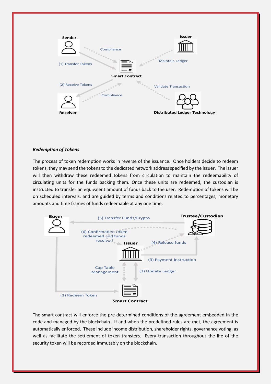

#### *Redemption of Tokens*

The process of token redemption works in reverse of the issuance. Once holders decide to redeem tokens, they may send the tokens to the dedicated network address specified by the issuer. The issuer will then withdraw these redeemed tokens from circulation to maintain the redeemability of circulating units for the funds backing them. Once these units are redeemed, the custodian is instructed to transfer an equivalent amount of funds back to the user. Redemption of tokens will be on scheduled intervals, and are guided by terms and conditions related to percentages, monetary amounts and time frames of funds redeemable at any one time.



The smart contract will enforce the pre-determined conditions of the agreement embedded in the code and managed by the blockchain. If and when the predefined rules are met, the agreement is automatically enforced. These include income distribution, shareholder rights, governance voting, as well as facilitate the settlement of token transfers. Every transaction throughout the life of the security token will be recorded immutably on the blockchain.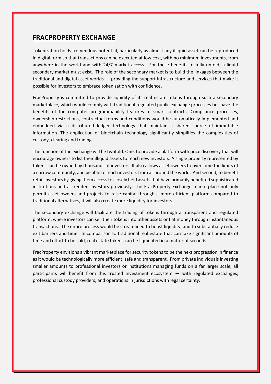## **FRACPROPERTY EXCHANGE**

Tokenization holds tremendous potential, particularly as almost any illiquid asset can be reproduced in digital form so that transactions can be executed at low cost, with no minimum investments, from anywhere in the world and with 24/7 market access. For these benefits to fully unfold, a liquid secondary market must exist. The role of the secondary market is to build the linkages between the traditional and digital asset worlds — providing the support infrastructure and services that make it possible for investors to embrace tokenization with confidence.

FracProperty is committed to provide liquidity of its real estate tokens through such a secondary marketplace, which would comply with traditional regulated public exchange processes but have the benefits of the computer programmability features of smart contracts. Compliance processes, ownership restrictions, contractual terms and conditions would be automatically implemented and embedded via a distributed ledger technology that maintain a shared source of immutable information. The application of blockchain technology significantly simplifies the complexities of custody, clearing and trading.

The function of the exchange will be twofold. One, to provide a platform with price discovery that will encourage owners to list their illiquid assets to reach new investors. A single property represented by tokens can be owned by thousands of investors. It also allows asset owners to overcome the limits of a narrow community, and be able to reach investors from all around the world. And second, to benefit retail investors by giving them access to closely held assets that have primarily benefited sophisticated institutions and accredited investors previously. The FracProperty Exchange marketplace not only permit asset owners and projects to raise capital through a more efficient platform compared to traditional alternatives, it will also create more liquidity for investors.

The secondary exchange will facilitate the trading of tokens through a transparent and regulated platform, where investors can sell their tokens into other assets or fiat money through instantaneous transactions. The entire process would be streamlined to boost liquidity, and to substantially reduce exit barriers and time. In comparison to traditional real estate that can take significant amounts of time and effort to be sold, real estate tokens can be liquidated in a matter of seconds.

FracProperty envisions a vibrant marketplace for security tokens to be the next progression in finance as it would be technologically more efficient, safe and transparent. From private individuals investing smaller amounts to professional investors or institutions managing funds on a far larger scale, all participants will benefit from this trusted investment ecosystem — with regulated exchanges, professional custody providers, and operations in jurisdictions with legal certainty.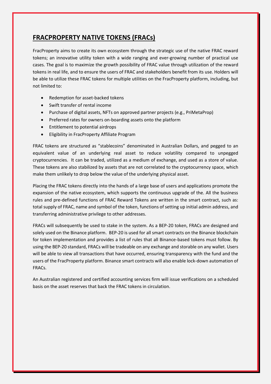## **FRACPROPERTY NATIVE TOKENS (FRACs)**

FracProperty aims to create its own ecosystem through the strategic use of the native FRAC reward tokens; an innovative utility token with a wide ranging and ever-growing number of practical use cases. The goal is to maximize the growth possibility of FRAC value through utilization of the reward tokens in real life, and to ensure the users of FRAC and stakeholders benefit from its use. Holders will be able to utilize these FRAC tokens for multiple utilities on the FracProperty platform, including, but not limited to:

- Redemption for asset-backed tokens
- Swift transfer of rental income
- Purchase of digital assets, NFTs on approved partner projects (e.g., PriMetaProp)
- Preferred rates for owners on-boarding assets onto the platform
- Entitlement to potential airdrops
- Eligibility in FracProperty Affiliate Program

FRAC tokens are structured as "stablecoins" denominated in Australian Dollars, and pegged to an equivalent value of an underlying real asset to reduce volatility compared to unpegged cryptocurrencies. It can be traded, utilized as a medium of exchange, and used as a store of value. These tokens are also stabilized by assets that are not correlated to the cryptocurrency space, which make them unlikely to drop below the value of the underlying physical asset.

Placing the FRAC tokens directly into the hands of a large base of users and applications promote the expansion of the native ecosystem, which supports the continuous upgrade of the. All the business rules and pre-defined functions of FRAC Reward Tokens are written in the smart contract, such as: total supply of FRAC, name and symbol of the token, functions of setting up initial admin address, and transferring administrative privilege to other addresses.

FRACs will subsequently be used to stake in the system. As a BEP-20 token, FRACs are designed and solely used on the Binance platform. BEP-20 is used for all smart contracts on the Binance blockchain for token implementation and provides a list of rules that all Binance-based tokens must follow. By using the BEP-20 standard, FRACs will be tradeable on any exchange and storable on any wallet. Users will be able to view all transactions that have occurred, ensuring transparency with the fund and the users of the FracProperty platform. Binance smart contracts will also enable lock-down automation of FRACs.

An Australian registered and certified accounting services firm will issue verifications on a scheduled basis on the asset reserves that back the FRAC tokens in circulation.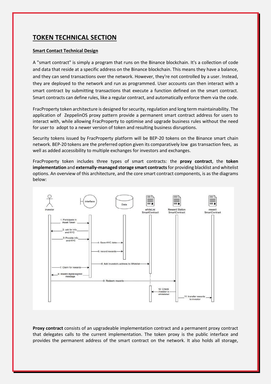## **TOKEN TECHNICAL SECTION**

#### **Smart Contact Technical Design**

A "smart contract" is simply a program that runs on the Binance blockchain. It's a collection of code and data that reside at a specific address on the Binance blockchain. This means they have a balance, and they can send transactions over the network. However, they're not controlled by a user. Instead, they are deployed to the network and run as programmed. User accounts can then interact with a smart contract by submitting transactions that execute a function defined on the smart contract. Smart contracts can define rules, like a regular contract, and automatically enforce them via the code.

FracProperty token architecture is designed for security, regulation and long term maintainability. The application of ZeppelinOS proxy pattern provide a permanent smart contract address for users to interact with, while allowing FracProperty to optimise and upgrade business rules without the need for user to adopt to a newer version of token and resulting business disruptions.

Security tokens issued by FracProperty platform will be BEP-20 tokens on the Binance smart chain network. BEP-20 tokens are the preferred option given its comparatively low gas transaction fees, as well as added accessibility to multiple exchanges for investors and exchanges.

FracProperty token includes three types of smart contracts: the **proxy contract**, the **token implementation** and **externally-managed storage smart contracts**for providing blacklist and whitelist options. An overview of this architecture, and the core smart contract components, is as the diagrams below:



**Proxy contract** consists of an upgradeable implementation contract and a permanent proxy contract that delegates calls to the current implementation. The token proxy is the public interface and provides the permanent address of the smart contract on the network. It also holds all storage,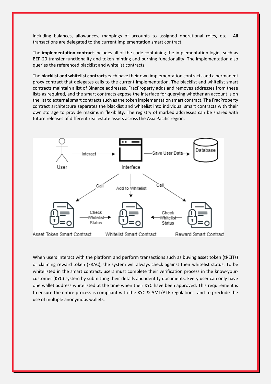including balances, allowances, mappings of accounts to assigned operational roles, etc. All transactions are delegated to the current implementation smart contract.

The **implementation contract** includes all of the code containing the implementation logic , such as BEP-20 transfer functionality and token minting and burning functionality. The implementation also queries the referenced blacklist and whitelist contracts.

The **blacklist and whitelist contracts** each have their own implementation contracts and a permanent proxy contract that delegates calls to the current implementation. The blacklist and whitelist smart contracts maintain a list of Binance addresses. FracProperty adds and removes addresses from these lists as required, and the smart contracts expose the interface for querying whether an account is on the list to external smart contracts such as the token implementation smart contract. The FracProperty contract architecture separates the blacklist and whitelist into individual smart contracts with their own storage to provide maximum flexibility. The registry of marked addresses can be shared with future releases of different real estate assets across the Asia Pacific region.



When users interact with the platform and perform transactions such as buying asset token (tREITs) or claiming reward token (FRAC), the system will always check against their whitelist status. To be whitelisted in the smart contract, users must complete their verification process in the know-yourcustomer (KYC) system by submitting their details and identity documents. Every user can only have one wallet address whitelisted at the time when their KYC have been approved. This requirement is to ensure the entire process is compliant with the KYC & AML/ATF regulations, and to preclude the use of multiple anonymous wallets.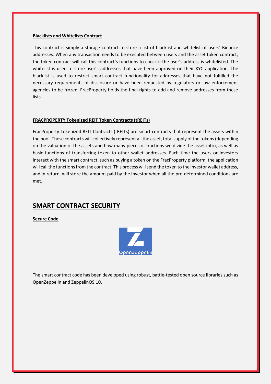#### **Blacklists and Whitelists Contract**

This contract is simply a storage contract to store a list of blacklist and whitelist of users' Binance addresses. When any transaction needs to be executed between users and the asset token contract, the token contract will call this contract's functions to check if the user's address is whitelisted. The whitelist is used to store user's addresses that have been approved on their KYC application. The blacklist is used to restrict smart contract functionality for addresses that have not fulfilled the necessary requirements of disclosure or have been requested by regulators or law enforcement agencies to be frozen. FracProperty holds the final rights to add and remove addresses from these lists.

#### **FRACPROPERTY Tokenized REIT Token Contracts (tREITs)**

FracProperty Tokenized REIT Contracts (tREITs) are smart contracts that represent the assets within the pool. These contracts will collectively represent all the asset, total supply of the tokens (depending on the valuation of the assets and how many pieces of fractions we divide the asset into), as well as basic functions of transferring token to other wallet addresses. Each time the users or investors interact with the smart contract, such as buying a token on the FracProperty platform, the application will call the functions from the contract. This process will send the token to the investor wallet address, and in return, will store the amount paid by the investor when all the pre-determined conditions are met.

## **SMART CONTRACT SECURITY**

**Secure Code**



The smart contract code has been developed using robust, battle-tested open source libraries such as OpenZeppelin and ZeppelinOS.10.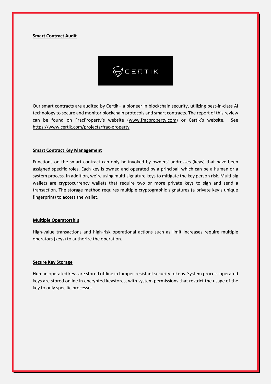#### **Smart Contract Audit**



Our smart contracts are audited by Certik– a pioneer in blockchain security, utilizing best-in-class AI technology to secure and monitor blockchain protocols and smart contracts. The report of this review can be found on FracProperty's website [\(www.fracproperty.com\)](http://www.fracproperty.com/) or Certik's website. See <https://www.certik.com/projects/frac-property>

#### **Smart Contract Key Management**

Functions on the smart contract can only be invoked by owners' addresses (keys) that have been assigned specific roles. Each key is owned and operated by a principal, which can be a human or a system process. In addition, we're using multi-signature keys to mitigate the key person risk. Multi-sig wallets are cryptocurrency wallets that require two or more private keys to sign and send a transaction. The storage method requires multiple cryptographic signatures (a private key's unique fingerprint) to access the wallet.

#### **Multiple Operatorship**

High-value transactions and high-risk operational actions such as limit increases require multiple operators (keys) to authorize the operation.

#### **Secure Key Storage**

Human operated keys are stored offline in tamper-resistant security tokens. System process operated keys are stored online in encrypted keystores, with system permissions that restrict the usage of the key to only specific processes.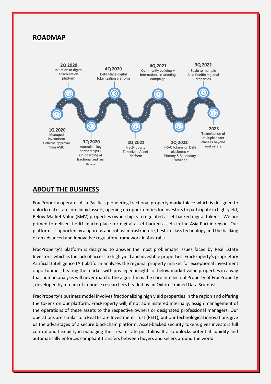## **ROADMAP**



## **ABOUT THE BUSINESS**

FracProperty operates Asia Pacific's pioneering fractional property marketplace which is designed to unlock real estate into liquid assets, opening up opportunities for investors to participate in high-yield, Below Market Value (BMV) properties ownership, via regulated asset-backed digital tokens. We are primed to deliver the #1 marketplace for digital asset-backed assets in the Asia Pacific region. Our platform is supported by a rigorous and robust infrastructure, best-in-class technology and the backing of an advanced and innovative regulatory framework in Australia.

FracProperty's platform is designed to answer the most problematic issues faced by Real Estate nvestors, which is the lack of access to high yield and investible properties. FracProperty's proprietary Artificial Intelligence (AI) platform analyses the regional property market for exceptional investment opportunities, beating the market with privileged insights of below market value properties in a way that human analysis will never match. The algorithm is the core Intellectual Property of FracProperty , developed by a team of in-house researchers headed by an Oxford-trained Data Scientist.

FracProperty's business model involves fractionalizing high yield properties in the region and offering the tokens on our platform. FracProperty will, if not administered internally, assign management of the operations of these assets to the respective owners or designated professional managers. Our operations are similar to a Real Estate Investment Trust (REIT), but our technological innovations give us the advantages of a secure blockchain platform. Asset-backed security tokens gives investors full control and flexibility in managing their real estate portfolios. It also unlocks potential liquidity and automatically enforces compliant transfers between buyers and sellers around the world.